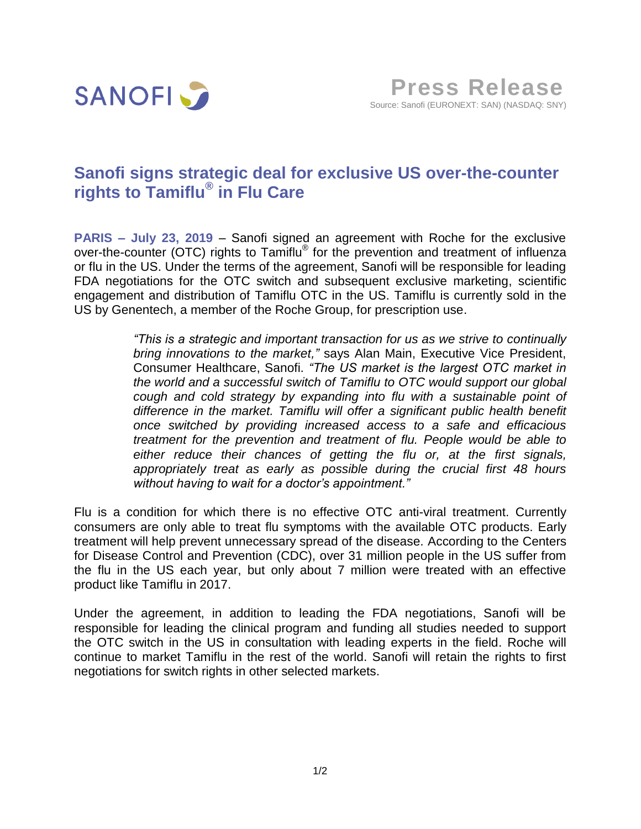

## **Sanofi signs strategic deal for exclusive US over-the-counter rights to Tamiflu® in Flu Care**

**PARIS – July 23, 2019** – Sanofi signed an agreement with Roche for the exclusive over-the-counter (OTC) rights to Tamiflu® for the prevention and treatment of influenza or flu in the US. Under the terms of the agreement, Sanofi will be responsible for leading FDA negotiations for the OTC switch and subsequent exclusive marketing, scientific engagement and distribution of Tamiflu OTC in the US. Tamiflu is currently sold in the US by Genentech, a member of the Roche Group, for prescription use.

> *"This is a strategic and important transaction for us as we strive to continually bring innovations to the market,"* says Alan Main, Executive Vice President, Consumer Healthcare, Sanofi. *"The US market is the largest OTC market in the world and a successful switch of Tamiflu to OTC would support our global cough and cold strategy by expanding into flu with a sustainable point of difference in the market. Tamiflu will offer a significant public health benefit once switched by providing increased access to a safe and efficacious treatment for the prevention and treatment of flu. People would be able to either reduce their chances of getting the flu or, at the first signals, appropriately treat as early as possible during the crucial first 48 hours without having to wait for a doctor's appointment."*

Flu is a condition for which there is no effective OTC anti-viral treatment. Currently consumers are only able to treat flu symptoms with the available OTC products. Early treatment will help prevent unnecessary spread of the disease. According to the Centers for Disease Control and Prevention (CDC), over 31 million people in the US suffer from the flu in the US each year, but only about 7 million were treated with an effective product like Tamiflu in 2017.

Under the agreement, in addition to leading the FDA negotiations, Sanofi will be responsible for leading the clinical program and funding all studies needed to support the OTC switch in the US in consultation with leading experts in the field. Roche will continue to market Tamiflu in the rest of the world. Sanofi will retain the rights to first negotiations for switch rights in other selected markets.